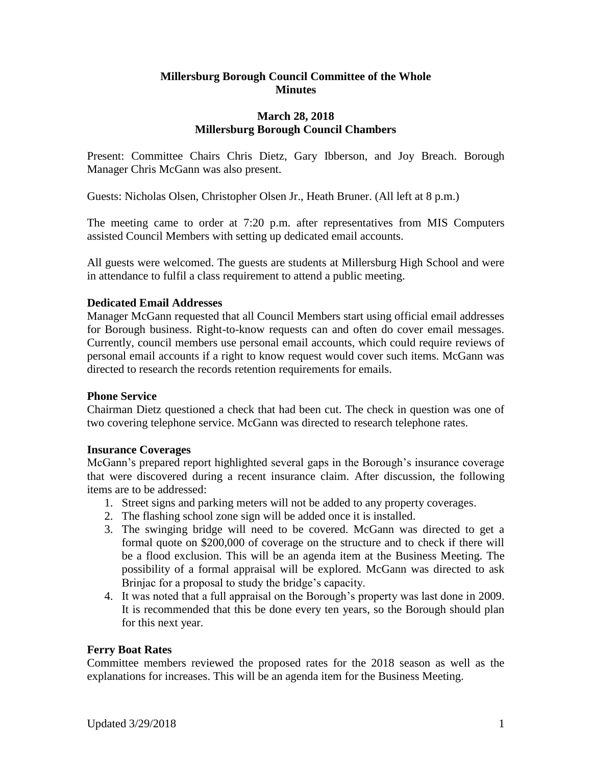# **Millersburg Borough Council Committee of the Whole Minutes**

# **March 28, 2018 Millersburg Borough Council Chambers**

Present: Committee Chairs Chris Dietz, Gary Ibberson, and Joy Breach. Borough Manager Chris McGann was also present.

Guests: Nicholas Olsen, Christopher Olsen Jr., Heath Bruner. (All left at 8 p.m.)

The meeting came to order at 7:20 p.m. after representatives from MIS Computers assisted Council Members with setting up dedicated email accounts.

All guests were welcomed. The guests are students at Millersburg High School and were in attendance to fulfil a class requirement to attend a public meeting.

# **Dedicated Email Addresses**

Manager McGann requested that all Council Members start using official email addresses for Borough business. Right-to-know requests can and often do cover email messages. Currently, council members use personal email accounts, which could require reviews of personal email accounts if a right to know request would cover such items. McGann was directed to research the records retention requirements for emails.

## **Phone Service**

Chairman Dietz questioned a check that had been cut. The check in question was one of two covering telephone service. McGann was directed to research telephone rates.

## **Insurance Coverages**

McGann's prepared report highlighted several gaps in the Borough's insurance coverage that were discovered during a recent insurance claim. After discussion, the following items are to be addressed:

- 1. Street signs and parking meters will not be added to any property coverages.
- 2. The flashing school zone sign will be added once it is installed.
- 3. The swinging bridge will need to be covered. McGann was directed to get a formal quote on \$200,000 of coverage on the structure and to check if there will be a flood exclusion. This will be an agenda item at the Business Meeting. The possibility of a formal appraisal will be explored. McGann was directed to ask Brinjac for a proposal to study the bridge's capacity.
- 4. It was noted that a full appraisal on the Borough's property was last done in 2009. It is recommended that this be done every ten years, so the Borough should plan for this next year.

## **Ferry Boat Rates**

Committee members reviewed the proposed rates for the 2018 season as well as the explanations for increases. This will be an agenda item for the Business Meeting.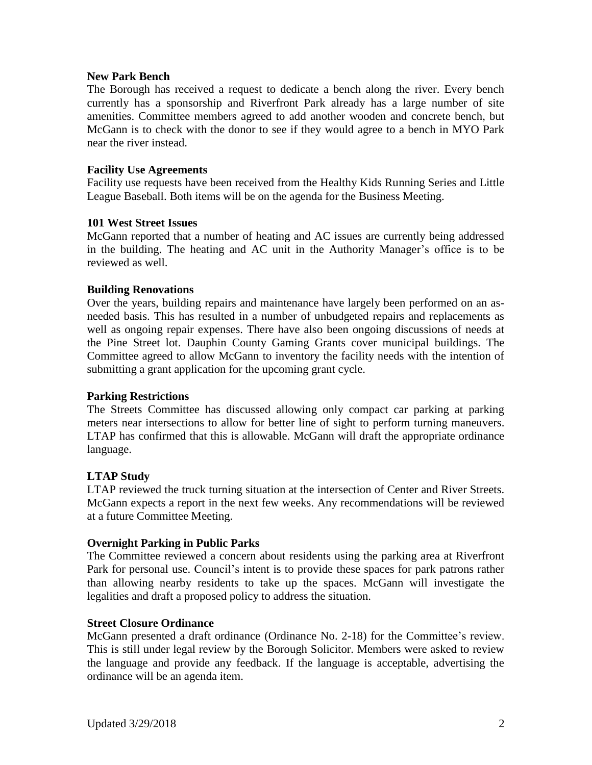## **New Park Bench**

The Borough has received a request to dedicate a bench along the river. Every bench currently has a sponsorship and Riverfront Park already has a large number of site amenities. Committee members agreed to add another wooden and concrete bench, but McGann is to check with the donor to see if they would agree to a bench in MYO Park near the river instead.

## **Facility Use Agreements**

Facility use requests have been received from the Healthy Kids Running Series and Little League Baseball. Both items will be on the agenda for the Business Meeting.

#### **101 West Street Issues**

McGann reported that a number of heating and AC issues are currently being addressed in the building. The heating and AC unit in the Authority Manager's office is to be reviewed as well.

#### **Building Renovations**

Over the years, building repairs and maintenance have largely been performed on an asneeded basis. This has resulted in a number of unbudgeted repairs and replacements as well as ongoing repair expenses. There have also been ongoing discussions of needs at the Pine Street lot. Dauphin County Gaming Grants cover municipal buildings. The Committee agreed to allow McGann to inventory the facility needs with the intention of submitting a grant application for the upcoming grant cycle.

## **Parking Restrictions**

The Streets Committee has discussed allowing only compact car parking at parking meters near intersections to allow for better line of sight to perform turning maneuvers. LTAP has confirmed that this is allowable. McGann will draft the appropriate ordinance language.

## **LTAP Study**

LTAP reviewed the truck turning situation at the intersection of Center and River Streets. McGann expects a report in the next few weeks. Any recommendations will be reviewed at a future Committee Meeting.

## **Overnight Parking in Public Parks**

The Committee reviewed a concern about residents using the parking area at Riverfront Park for personal use. Council's intent is to provide these spaces for park patrons rather than allowing nearby residents to take up the spaces. McGann will investigate the legalities and draft a proposed policy to address the situation.

#### **Street Closure Ordinance**

McGann presented a draft ordinance (Ordinance No. 2-18) for the Committee's review. This is still under legal review by the Borough Solicitor. Members were asked to review the language and provide any feedback. If the language is acceptable, advertising the ordinance will be an agenda item.